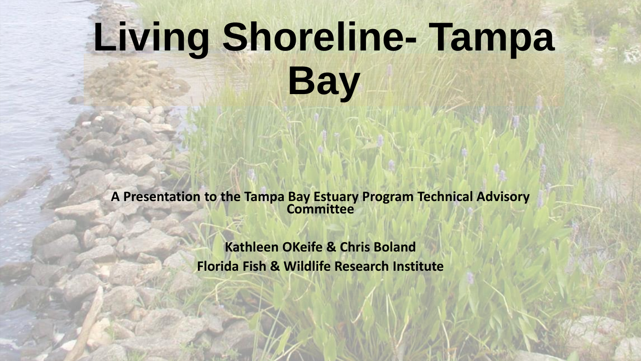# **Living Shoreline- Tampa Bay**

**A Presentation to the Tampa Bay Estuary Program Technical Advisory Committee**

> **Kathleen OKeife & Chris Boland Florida Fish & Wildlife Research Institute**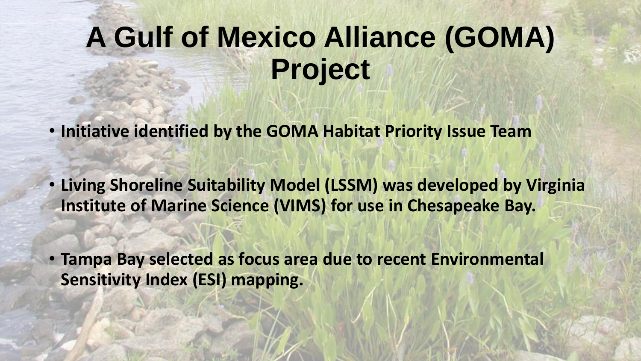# **A Gulf of Mexico Alliance (GOMA) Project**

• **Initiative identified by the GOMA Habitat Priority Issue Team**

• **Living Shoreline Suitability Model (LSSM) was developed by Virginia Institute of Marine Science (VIMS) for use in Chesapeake Bay.**

• **Tampa Bay selected as focus area due to recent Environmental Sensitivity Index (ESI) mapping.**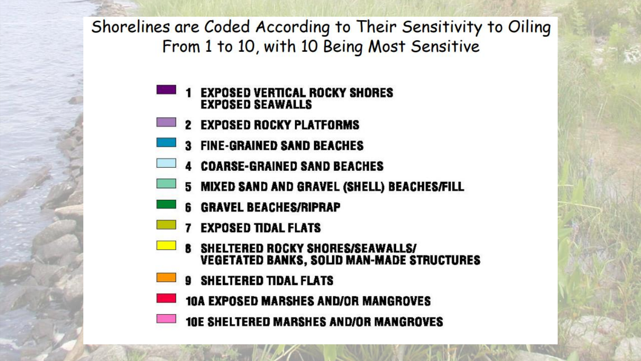Shorelines are Coded According to Their Sensitivity to Oiling From 1 to 10, with 10 Being Most Sensitive

- **EXPOSED VERTICAL ROCKY SHORES EXPOSED SEAWALLS**
- 2 EXPOSED ROCKY PLATFORMS
- **3 FINE-GRAINED SAND BEACHES**
- **4 COARSE-GRAINED SAND BEACHES**
- 5 MIXED SAND AND GRAVEL (SHELL) BEACHES/FILL
- **6 GRAVEL BEACHES/RIPRAP**
- **EXPOSED TIDAL FLATS**
- **SHELTERED ROCKY SHORES/SEAWALLS/ VEGETATED BANKS, SOLID MAN-MADE STRUCTURES**
- 9 SHELTERED TIDAL FLATS
- **10A EXPOSED MARSHES AND/OR MANGROVES** 
	- **10E SHELTERED MARSHES AND/OR MANGROVES**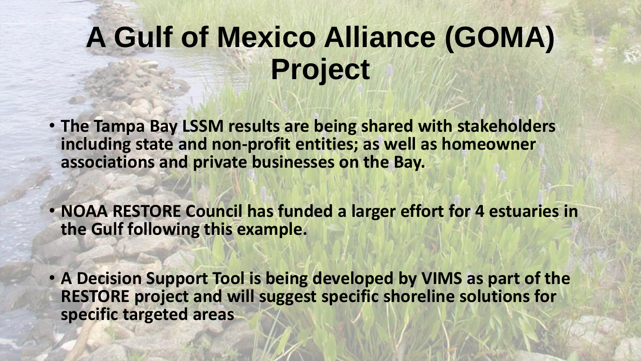# **A Gulf of Mexico Alliance (GOMA) Project**

• **The Tampa Bay LSSM results are being shared with stakeholders including state and non-profit entities; as well as homeowner associations and private businesses on the Bay.**

• **NOAA RESTORE Council has funded a larger effort for 4 estuaries in the Gulf following this example.**

• **A Decision Support Tool is being developed by VIMS as part of the RESTORE project and will suggest specific shoreline solutions for specific targeted areas**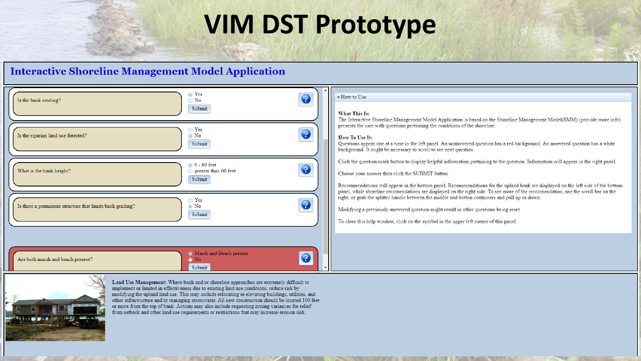### **VIM DST Prototype**

#### **Interactive Shoreline Management Model Application**

| <b>Yes</b><br>2<br>Is the riparian land use forested?<br>$\odot$ No<br>Submit<br>◎ 0 - 60 feet<br>2<br>What is the bank height?<br>greater than 60 feet<br>Submit                           | - How to Use<br>What This Is:<br>The Interactive Shoreline Management Model Application is based on the Shoreline Management Model(SMM) (provide more info)<br>presents the user with questions pertaining the conditions of the shoreline.<br>How To Use It:<br>Questions appear one at a time in the left panel. An unanswered question has a red background. An answered question has a white<br>background. It might be necessary to scroll to see next question.<br>Click the question mark button to display helpful information pertaining to the question. Information will appear in the right panel.<br>Choose your answer then click the SUBMIT button. |
|---------------------------------------------------------------------------------------------------------------------------------------------------------------------------------------------|--------------------------------------------------------------------------------------------------------------------------------------------------------------------------------------------------------------------------------------------------------------------------------------------------------------------------------------------------------------------------------------------------------------------------------------------------------------------------------------------------------------------------------------------------------------------------------------------------------------------------------------------------------------------|
| ⊙ Yes<br>2<br>$\odot$ No<br>Is there a permanent structure that limits bank grading?<br>Submit<br>Marsh and Beach present<br>2<br>Are both marsh and beach present?<br>$\odot$ No<br>Submit | Recommendations will appear in the bottom panel. Recommendations for the upland bank are displayed on the left side of the bottom<br>panel, while shoreline recomendations are displayed on the right side. To see more of the reccomendation, use the scroll bar on the<br>right, or grab the splitter handle between the middle and botton containers and pull up or down.<br>Modifying a previously answered question might result in other questions being reset.<br>To close this help window, click on the symbol in the upper left corner of this panel.                                                                                                    |



Land Use Management: Where bank and/or shoreline approaches are extremely difficult to implement or limited in effectiveness due to existing land use conditions; reduce risk by modifying the upland land use. This may include relocating or elevating buildings, utilities, and other infrastructure and/or managing stormwater. All new construction should be located 100 feet or more from the top of bank. Actions may also include requesting zoning variances for relief from setback and other land use requirements or restrictions that may increase erosion risk.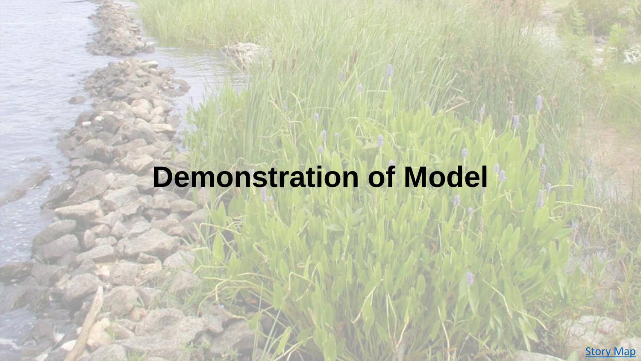## **Demonstration of Model**